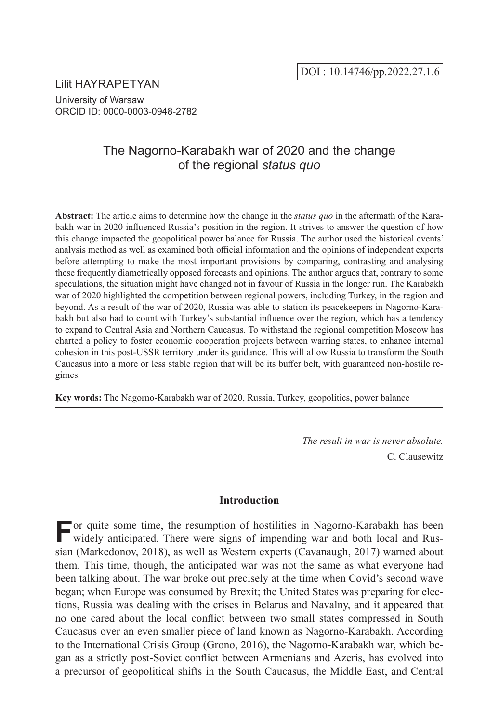Lilit HAYRAPETYAN University of Warsaw ORCID ID: 0000-0003-0948-2782

# The Nagorno-Karabakh war of 2020 and the change of the regional *status quo*

**Abstract:** The article aims to determine how the change in the *status quo* in the aftermath of the Karabakh war in 2020 influenced Russia's position in the region. It strives to answer the question of how this change impacted the geopolitical power balance for Russia. The author used the historical events' analysis method as well as examined both official information and the opinions of independent experts before attempting to make the most important provisions by comparing, contrasting and analysing these frequently diametrically opposed forecasts and opinions. The author argues that, contrary to some speculations, the situation might have changed not in favour of Russia in the longer run. The Karabakh war of 2020 highlighted the competition between regional powers, including Turkey, in the region and beyond. As a result of the war of 2020, Russia was able to station its peacekeepers in Nagorno-Karabakh but also had to count with Turkey's substantial influence over the region, which has a tendency to expand to Central Asia and Northern Caucasus. To withstand the regional competition Moscow has charted a policy to foster economic cooperation projects between warring states, to enhance internal cohesion in this post-USSR territory under its guidance. This will allow Russia to transform the South Caucasus into a more or less stable region that will be its buffer belt, with guaranteed non-hostile regimes.

**Key words:** The Nagorno-Karabakh war of 2020, Russia, Turkey, geopolitics, power balance

*The result in war is never absolute.* C. Clausewitz

# **Introduction**

**For quite some time, the resumption of hostilities in Nagorno-Karabakh has been** widely anticipated. There were signs of impanding was and hoth last under widely anticipated. There were signs of impending war and both local and Russian (Markedonov, 2018), as well as Western experts (Cavanaugh, 2017) warned about them. This time, though, the anticipated war was not the same as what everyone had been talking about. The war broke out precisely at the time when Covid's second wave began; when Europe was consumed by Brexit; the United States was preparing for elections, Russia was dealing with the crises in Belarus and Navalny, and it appeared that no one cared about the local conflict between two small states compressed in South Caucasus over an even smaller piece of land known as Nagorno-Karabakh. According to the International Crisis Group (Grono, 2016), the Nagorno-Karabakh war, which began as a strictly post-Soviet conflict between Armenians and Azeris, has evolved into a precursor of geopolitical shifts in the South Caucasus, the Middle East, and Central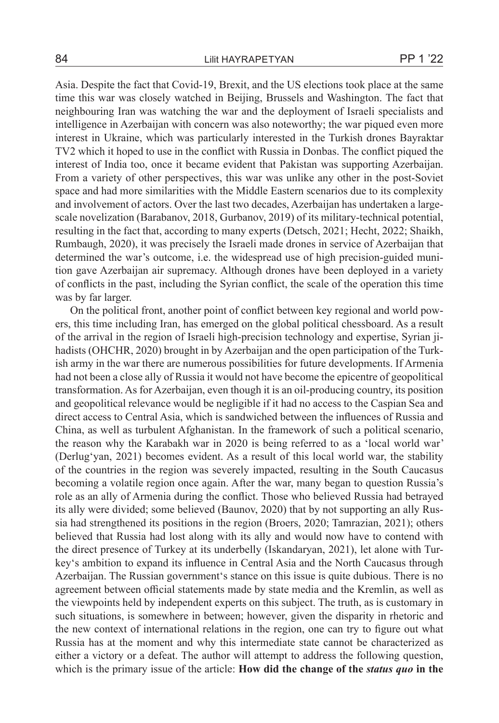Asia. Despite the fact that Covid-19, Brexit, and the US elections took place at the same time this war was closely watched in Beijing, Brussels and Washington. The fact that neighbouring Iran was watching the war and the deployment of Israeli specialists and intelligence in Azerbaijan with concern was also noteworthy; the war piqued even more interest in Ukraine, which was particularly interested in the Turkish drones Bayraktar TV2 which it hoped to use in the conflict with Russia in Donbas. The conflict piqued the interest of India too, once it became evident that Pakistan was supporting Azerbaijan. From a variety of other perspectives, this war was unlike any other in the post-Soviet space and had more similarities with the Middle Eastern scenarios due to its complexity and involvement of actors. Over the last two decades, Azerbaijan has undertaken a largescale novelization (Barabanov, 2018, Gurbanov, 2019) of its military-technical potential, resulting in the fact that, according to many experts (Detsch, 2021; Hecht, 2022; Shaikh, Rumbaugh, 2020), it was precisely the Israeli made drones in service of Azerbaijan that determined the war's outcome, i.e. the widespread use of high precision-guided munition gave Azerbaijan air supremacy. Although drones have been deployed in a variety of conflicts in the past, including the Syrian conflict, the scale of the operation this time was by far larger.

On the political front, another point of conflict between key regional and world powers, this time including Iran, has emerged on the global political chessboard. As a result of the arrival in the region of Israeli high-precision technology and expertise, Syrian jihadists (OHCHR, 2020) brought in by Azerbaijan and the open participation of the Turkish army in the war there are numerous possibilities for future developments. If Armenia had not been a close ally of Russia it would not have become the epicentre of geopolitical transformation. As for Azerbaijan, even though it is an oil-producing country, its position and geopolitical relevance would be negligible if it had no access to the Caspian Sea and direct access to Central Asia, which is sandwiched between the influences of Russia and China, as well as turbulent Afghanistan. In the framework of such a political scenario, the reason why the Karabakh war in 2020 is being referred to as a 'local world war' (Derlug'yan, 2021) becomes evident. As a result of this local world war, the stability of the countries in the region was severely impacted, resulting in the South Caucasus becoming a volatile region once again. After the war, many began to question Russia's role as an ally of Armenia during the conflict. Those who believed Russia had betrayed its ally were divided; some believed (Baunov, 2020) that by not supporting an ally Russia had strengthened its positions in the region (Broers, 2020; Tamrazian, 2021); others believed that Russia had lost along with its ally and would now have to contend with the direct presence of Turkey at its underbelly (Iskandaryan, 2021), let alone with Turkey's ambition to expand its influence in Central Asia and the North Caucasus through Azerbaijan. The Russian government's stance on this issue is quite dubious. There is no agreement between official statements made by state media and the Kremlin, as well as the viewpoints held by independent experts on this subject. The truth, as is customary in such situations, is somewhere in between; however, given the disparity in rhetoric and the new context of international relations in the region, one can try to figure out what Russia has at the moment and why this intermediate state cannot be characterized as either a victory or a defeat. The author will attempt to address the following question, which is the primary issue of the article: **How did the change of the** *status quo* **in the**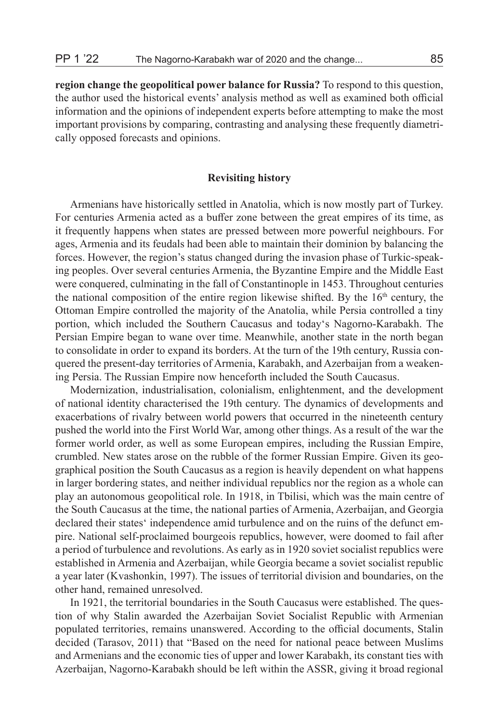**region change the geopolitical power balance for Russia?** To respond to this question, the author used the historical events' analysis method as well as examined both official information and the opinions of independent experts before attempting to make the most important provisions by comparing, contrasting and analysing these frequently diametrically opposed forecasts and opinions.

#### **Revisiting history**

Armenians have historically settled in Anatolia, which is now mostly part of Turkey. For centuries Armenia acted as a buffer zone between the great empires of its time, as it frequently happens when states are pressed between more powerful neighbours. For ages, Armenia and its feudals had been able to maintain their dominion by balancing the forces. However, the region's status changed during the invasion phase of Turkic-speaking peoples. Over several centuries Armenia, the Byzantine Empire and the Middle East were conquered, culminating in the fall of Constantinople in 1453. Throughout centuries the national composition of the entire region likewise shifted. By the  $16<sup>th</sup>$  century, the Ottoman Empire controlled the majority of the Anatolia, while Persia controlled a tiny portion, which included the Southern Caucasus and today's Nagorno-Karabakh. The Persian Empire began to wane over time. Meanwhile, another state in the north began to consolidate in order to expand its borders. At the turn of the 19th century, Russia conquered the present-day territories of Armenia, Karabakh, and Azerbaijan from a weakening Persia. The Russian Empire now henceforth included the South Caucasus.

Modernization, industrialisation, colonialism, enlightenment, and the development of national identity characterised the 19th century. The dynamics of developments and exacerbations of rivalry between world powers that occurred in the nineteenth century pushed the world into the First World War, among other things. As a result of the war the former world order, as well as some European empires, including the Russian Empire, crumbled. New states arose on the rubble of the former Russian Empire. Given its geographical position the South Caucasus as a region is heavily dependent on what happens in larger bordering states, and neither individual republics nor the region as a whole can play an autonomous geopolitical role. In 1918, in Tbilisi, which was the main centre of the South Caucasus at the time, the national parties of Armenia, Azerbaijan, and Georgia declared their states' independence amid turbulence and on the ruins of the defunct empire. National self-proclaimed bourgeois republics, however, were doomed to fail after a period of turbulence and revolutions. As early as in 1920 soviet socialist republics were established in Armenia and Azerbaijan, while Georgia became a soviet socialist republic a year later (Kvashonkin, 1997). The issues of territorial division and boundaries, on the other hand, remained unresolved.

In 1921, the territorial boundaries in the South Caucasus were established. The question of why Stalin awarded the Azerbaijan Soviet Socialist Republic with Armenian populated territories, remains unanswered. According to the official documents, Stalin decided (Tarasov, 2011) that "Based on the need for national peace between Muslims and Armenians and the economic ties of upper and lower Karabakh, its constant ties with Azerbaijan, Nagorno-Karabakh should be left within the ASSR, giving it broad regional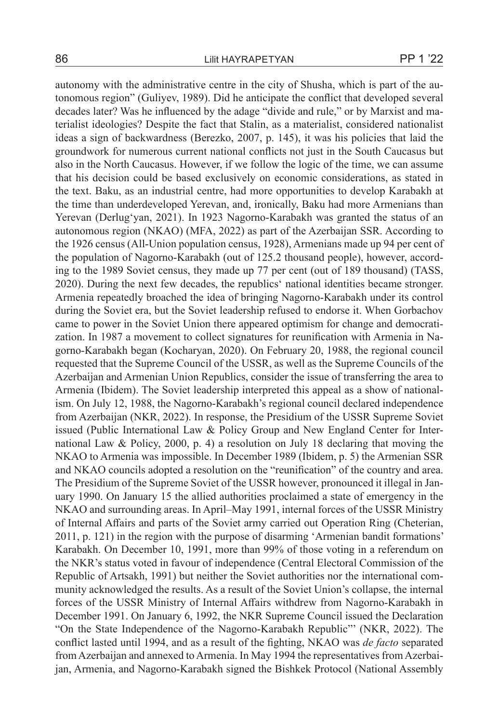autonomy with the administrative centre in the city of Shusha, which is part of the autonomous region" (Guliyev, 1989). Did he anticipate the conflict that developed several decades later? Was he influenced by the adage "divide and rule," or by Marxist and materialist ideologies? Despite the fact that Stalin, as a materialist, considered nationalist ideas a sign of backwardness (Berezko, 2007, p. 145), it was his policies that laid the groundwork for numerous current national conflicts not just in the South Caucasus but also in the North Caucasus. However, if we follow the logic of the time, we can assume that his decision could be based exclusively on economic considerations, as stated in the text. Baku, as an industrial centre, had more opportunities to develop Karabakh at the time than underdeveloped Yerevan, and, ironically, Baku had more Armenians than Yerevan (Derlug'yan, 2021). In 1923 Nagorno-Karabakh was granted the status of an autonomous region (NKAO) (MFA, 2022) as part of the Azerbaijan SSR. According to the 1926 census (All-Union population census, 1928), Armenians made up 94 per cent of the population of Nagorno-Karabakh (out of 125.2 thousand people), however, according to the 1989 Soviet census, they made up 77 per cent (out of 189 thousand) (TASS, 2020). During the next few decades, the republics' national identities became stronger. Armenia repeatedly broached the idea of bringing Nagorno-Karabakh under its control during the Soviet era, but the Soviet leadership refused to endorse it. When Gorbachov came to power in the Soviet Union there appeared optimism for change and democratization. In 1987 a movement to collect signatures for reunification with Armenia in Nagorno-Karabakh began (Kocharyan, 2020). On February 20, 1988, the regional council requested that the Supreme Council of the USSR, as well as the Supreme Councils of the Azerbaijan and Armenian Union Republics, consider the issue of transferring the area to Armenia (Ibidem). The Soviet leadership interpreted this appeal as a show of nationalism. On July 12, 1988, the Nagorno-Karabakh's regional council declared independence from Azerbaijan (NKR, 2022). In response, the Presidium of the USSR Supreme Soviet issued (Public International Law & Policy Group and New England Center for International Law & Policy, 2000, p. 4) a resolution on July 18 declaring that moving the NKAO to Armenia was impossible. In December 1989 (Ibidem, p. 5) the Armenian SSR and NKAO councils adopted a resolution on the "reunification" of the country and area. The Presidium of the Supreme Soviet of the USSR however, pronounced it illegal in January 1990. On January 15 the allied authorities proclaimed a state of emergency in the NKAO and surrounding areas. In April–May 1991, internal forces of the USSR Ministry of Internal Affairs and parts of the Soviet army carried out Operation Ring (Cheterian, 2011, p. 121) in the region with the purpose of disarming 'Armenian bandit formations' Karabakh. On December 10, 1991, more than 99% of those voting in a referendum on the NKR's status voted in favour of independence (Central Electoral Commission of the Republic of Artsakh, 1991) but neither the Soviet authorities nor the international community acknowledged the results. As a result of the Soviet Union's collapse, the internal forces of the USSR Ministry of Internal Affairs withdrew from Nagorno-Karabakh in December 1991. On January 6, 1992, the NKR Supreme Council issued the Declaration "On the State Independence of the Nagorno-Karabakh Republic"' (NKR, 2022). The conflict lasted until 1994, and as a result of the fighting, NKAO was *de facto* separated from Azerbaijan and annexed to Armenia. In May 1994 the representatives from Azerbaijan, Armenia, and Nagorno-Karabakh signed the Bishkek Protocol (National Assembly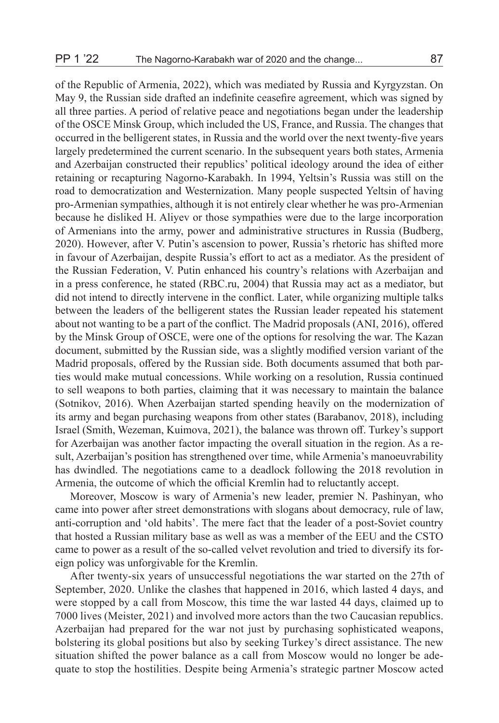of the Republic of Armenia, 2022), which was mediated by Russia and Kyrgyzstan. On May 9, the Russian side drafted an indefinite ceasefire agreement, which was signed by all three parties. A period of relative peace and negotiations began under the leadership of the OSCE Minsk Group, which included the US, France, and Russia. The changes that occurred in the belligerent states, in Russia and the world over the next twenty-five years largely predetermined the current scenario. In the subsequent years both states, Armenia and Azerbaijan constructed their republics' political ideology around the idea of either retaining or recapturing Nagorno-Karabakh. In 1994, Yeltsin's Russia was still on the road to democratization and Westernization. Many people suspected Yeltsin of having pro-Armenian sympathies, although it is not entirely clear whether he was pro-Armenian because he disliked H. Aliyev or those sympathies were due to the large incorporation of Armenians into the army, power and administrative structures in Russia (Budberg, 2020). However, after V. Putin's ascension to power, Russia's rhetoric has shifted more in favour of Azerbaijan, despite Russia's effort to act as a mediator. As the president of the Russian Federation, V. Putin enhanced his country's relations with Azerbaijan and in a press conference, he stated (RBC.ru, 2004) that Russia may act as a mediator, but did not intend to directly intervene in the conflict. Later, while organizing multiple talks between the leaders of the belligerent states the Russian leader repeated his statement about not wanting to be a part of the conflict. The Madrid proposals (ANI, 2016), offered by the Minsk Group of OSCE, were one of the options for resolving the war. The Kazan document, submitted by the Russian side, was a slightly modified version variant of the Madrid proposals, offered by the Russian side. Both documents assumed that both parties would make mutual concessions. While working on a resolution, Russia continued to sell weapons to both parties, claiming that it was necessary to maintain the balance (Sotnikov, 2016). When Azerbaijan started spending heavily on the modernization of its army and began purchasing weapons from other states (Barabanov, 2018), including Israel (Smith, Wezeman, Kuimova, 2021), the balance was thrown off. Turkey's support for Azerbaijan was another factor impacting the overall situation in the region. As a result, Azerbaijan's position has strengthened over time, while Armenia's manoeuvrability has dwindled. The negotiations came to a deadlock following the 2018 revolution in Armenia, the outcome of which the official Kremlin had to reluctantly accept.

Moreover, Moscow is wary of Armenia's new leader, premier N. Pashinyan, who came into power after street demonstrations with slogans about democracy, rule of law, anti-corruption and 'old habits'. The mere fact that the leader of a post-Soviet country that hosted a Russian military base as well as was a member of the EEU and the CSTO came to power as a result of the so-called velvet revolution and tried to diversify its foreign policy was unforgivable for the Kremlin.

After twenty-six years of unsuccessful negotiations the war started on the 27th of September, 2020. Unlike the clashes that happened in 2016, which lasted 4 days, and were stopped by a call from Moscow, this time the war lasted 44 days, claimed up to 7000 lives (Meister, 2021) and involved more actors than the two Caucasian republics. Azerbaijan had prepared for the war not just by purchasing sophisticated weapons, bolstering its global positions but also by seeking Turkey's direct assistance. The new situation shifted the power balance as a call from Moscow would no longer be adequate to stop the hostilities. Despite being Armenia's strategic partner Moscow acted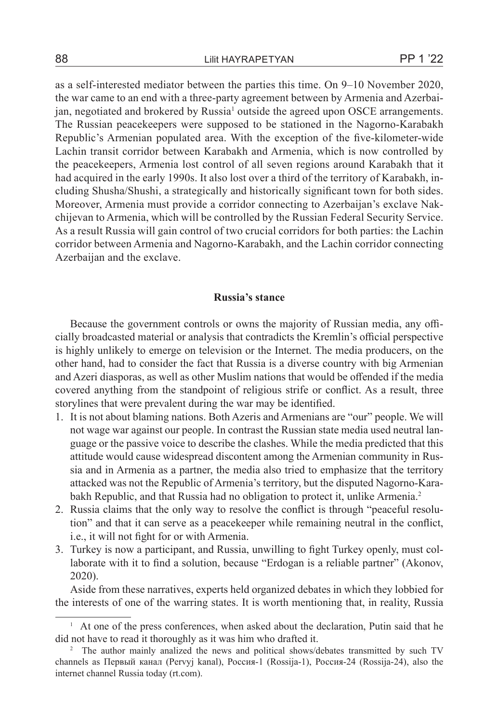as a self-interested mediator between the parties this time. On 9–10 November 2020, the war came to an end with a three-party agreement between by Armenia and Azerbaijan, negotiated and brokered by Russia<sup>1</sup> outside the agreed upon OSCE arrangements. The Russian peacekeepers were supposed to be stationed in the Nagorno-Karabakh Republic's Armenian populated area. With the exception of the five-kilometer-wide Lachin transit corridor between Karabakh and Armenia, which is now controlled by the peacekeepers, Armenia lost control of all seven regions around Karabakh that it had acquired in the early 1990s. It also lost over a third of the territory of Karabakh, including Shusha/Shushi, a strategically and historically significant town for both sides. Moreover, Armenia must provide a corridor connecting to Azerbaijan's exclave Nakchijevan to Armenia, which will be controlled by the Russian Federal Security Service. As a result Russia will gain control of two crucial corridors for both parties: the Lachin corridor between Armenia and Nagorno-Karabakh, and the Lachin corridor connecting Azerbaijan and the exclave.

## **Russia's stance**

Because the government controls or owns the majority of Russian media, any officially broadcasted material or analysis that contradicts the Kremlin's official perspective is highly unlikely to emerge on television or the Internet. The media producers, on the other hand, had to consider the fact that Russia is a diverse country with big Armenian and Azeri diasporas, as well as other Muslim nations that would be offended if the media covered anything from the standpoint of religious strife or conflict. As a result, three storylines that were prevalent during the war may be identified.

- 1. It is not about blaming nations. Both Azeris and Armenians are "our" people. We will not wage war against our people. In contrast the Russian state media used neutral language or the passive voice to describe the clashes. While the media predicted that this attitude would cause widespread discontent among the Armenian community in Russia and in Armenia as a partner, the media also tried to emphasize that the territory attacked was not the Republic of Armenia's territory, but the disputed Nagorno-Karabakh Republic, and that Russia had no obligation to protect it, unlike Armenia.<sup>2</sup>
- 2. Russia claims that the only way to resolve the conflict is through "peaceful resolution" and that it can serve as a peacekeeper while remaining neutral in the conflict, i.e., it will not fight for or with Armenia.
- 3. Turkey is now a participant, and Russia, unwilling to fight Turkey openly, must collaborate with it to find a solution, because "Erdogan is a reliable partner" (Akonov, 2020).

Aside from these narratives, experts held organized debates in which they lobbied for the interests of one of the warring states. It is worth mentioning that, in reality, Russia

<sup>&</sup>lt;sup>1</sup> At one of the press conferences, when asked about the declaration, Putin said that he did not have to read it thoroughly as it was him who drafted it.

<sup>&</sup>lt;sup>2</sup> The author mainly analized the news and political shows/debates transmitted by such TV channels as Первый канал (Pervyj kanal), Россия-1 (Rossija-1), Россия-24 (Rossija-24), also the internet channel Russia today (rt.com).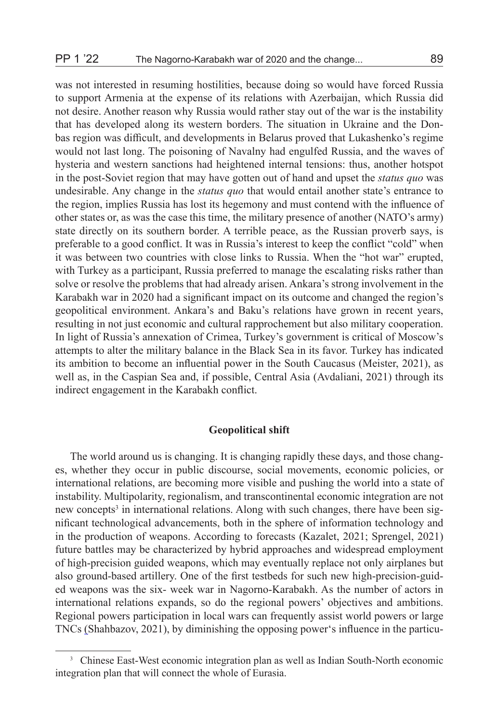was not interested in resuming hostilities, because doing so would have forced Russia to support Armenia at the expense of its relations with Azerbaijan, which Russia did not desire. Another reason why Russia would rather stay out of the war is the instability that has developed along its western borders. The situation in Ukraine and the Donbas region was difficult, and developments in Belarus proved that Lukashenko's regime would not last long. The poisoning of Navalny had engulfed Russia, and the waves of hysteria and western sanctions had heightened internal tensions: thus, another hotspot in the post-Soviet region that may have gotten out of hand and upset the *status quo* was undesirable. Any change in the *status quo* that would entail another state's entrance to the region, implies Russia has lost its hegemony and must contend with the influence of other states or, as was the case this time, the military presence of another (NATO's army) state directly on its southern border. A terrible peace, as the Russian proverb says, is preferable to a good conflict. It was in Russia's interest to keep the conflict "cold" when it was between two countries with close links to Russia. When the "hot war" erupted, with Turkey as a participant, Russia preferred to manage the escalating risks rather than solve or resolve the problems that had already arisen. Ankara's strong involvement in the Karabakh war in 2020 had a significant impact on its outcome and changed the region's geopolitical environment. Ankara's and Baku's relations have grown in recent years, resulting in not just economic and cultural rapprochement but also military cooperation. In light of Russia's annexation of Crimea, Turkey's government is critical of Moscow's attempts to alter the military balance in the Black Sea in its favor. Turkey has indicated its ambition to become an influential power in the South Caucasus (Meister, 2021), as well as, in the Caspian Sea and, if possible, Central Asia (Avdaliani, 2021) through its indirect engagement in the Karabakh conflict.

## **Geopolitical shift**

The world around us is changing. It is changing rapidly these days, and those changes, whether they occur in public discourse, social movements, economic policies, or international relations, are becoming more visible and pushing the world into a state of instability. Multipolarity, regionalism, and transcontinental economic integration are not new concepts<sup>3</sup> in international relations. Along with such changes, there have been significant technological advancements, both in the sphere of information technology and in the production of weapons. According to forecasts (Kazalet, 2021; Sprengel, 2021) future battles may be characterized by hybrid approaches and widespread employment of high-precision guided weapons, which may eventually replace not only airplanes but also ground-based artillery. One of the first testbeds for such new high-precision-guided weapons was the six- week war in Nagorno-Karabakh. As the number of actors in international relations expands, so do the regional powers' objectives and ambitions. Regional powers participation in local wars can frequently assist world powers or large TNCs (Shahbazov, 2021), by diminishing the opposing power's influence in the particu-

<sup>3</sup> Chinese East-West economic integration plan as well as Indian South-North economic integration plan that will connect the whole of Eurasia.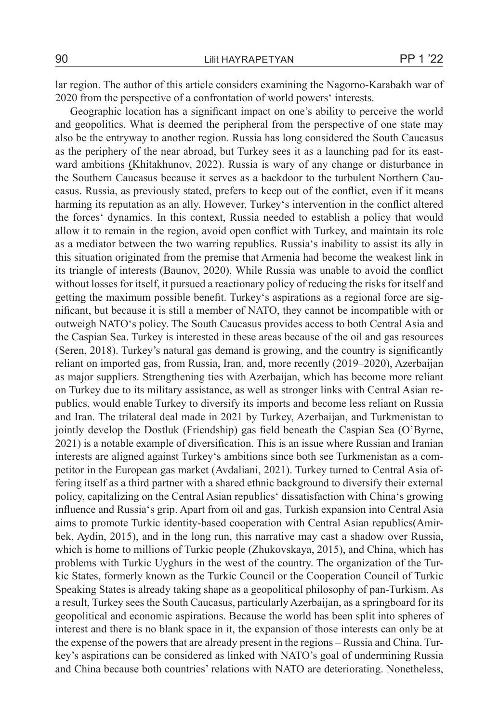lar region. The author of this article considers examining the Nagorno-Karabakh war of 2020 from the perspective of a confrontation of world powers' interests.

Geographic location has a significant impact on one's ability to perceive the world and geopolitics. What is deemed the peripheral from the perspective of one state may also be the entryway to another region. Russia has long considered the South Caucasus as the periphery of the near abroad, but Turkey sees it as a launching pad for its eastward ambitions (Khitakhunov, 2022). Russia is wary of any change or disturbance in the Southern Caucasus because it serves as a backdoor to the turbulent Northern Caucasus. Russia, as previously stated, prefers to keep out of the conflict, even if it means harming its reputation as an ally. However, Turkey's intervention in the conflict altered the forces' dynamics. In this context, Russia needed to establish a policy that would allow it to remain in the region, avoid open conflict with Turkey, and maintain its role as a mediator between the two warring republics. Russia's inability to assist its ally in this situation originated from the premise that Armenia had become the weakest link in its triangle of interests (Baunov, 2020). While Russia was unable to avoid the conflict without losses for itself, it pursued a reactionary policy of reducing the risks for itself and getting the maximum possible benefit. Turkey's aspirations as a regional force are significant, but because it is still a member of NATO, they cannot be incompatible with or outweigh NATO's policy. The South Caucasus provides access to both Central Asia and the Caspian Sea. Turkey is interested in these areas because of the oil and gas resources (Seren, 2018). Turkey's natural gas demand is growing, and the country is significantly reliant on imported gas, from Russia, Iran, and, more recently (2019–2020), Azerbaijan as major suppliers. Strengthening ties with Azerbaijan, which has become more reliant on Turkey due to its military assistance, as well as stronger links with Central Asian republics, would enable Turkey to diversify its imports and become less reliant on Russia and Iran. The trilateral deal made in 2021 by Turkey, Azerbaijan, and Turkmenistan to jointly develop the Dostluk (Friendship) gas field beneath the Caspian Sea (O'Byrne, 2021) is a notable example of diversification. This is an issue where Russian and Iranian interests are aligned against Turkey's ambitions since both see Turkmenistan as a competitor in the European gas market (Avdaliani, 2021). Turkey turned to Central Asia offering itself as a third partner with a shared ethnic background to diversify their external policy, capitalizing on the Central Asian republics' dissatisfaction with China's growing influence and Russia's grip. Apart from oil and gas, Turkish expansion into Central Asia aims to promote Turkic identity-based cooperation with Central Asian republics(Amirbek, Aydin, 2015), and in the long run, this narrative may cast a shadow over Russia, which is home to millions of Turkic people (Zhukovskaya, 2015), and China, which has problems with Turkic Uyghurs in the west of the country. The organization of the Turkic States, formerly known as the Turkic Council or the Cooperation Council of Turkic Speaking States is already taking shape as a geopolitical philosophy of pan-Turkism. As a result, Turkey sees the South Caucasus, particularly Azerbaijan, as a springboard for its geopolitical and economic aspirations. Because the world has been split into spheres of interest and there is no blank space in it, the expansion of those interests can only be at the expense of the powers that are already present in the regions – Russia and China. Turkey's aspirations can be considered as linked with NATO's goal of undermining Russia and China because both countries' relations with NATO are deteriorating. Nonetheless,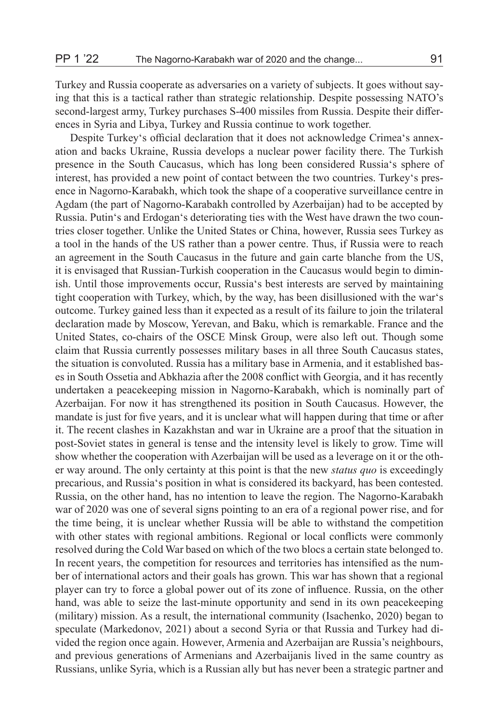Turkey and Russia cooperate as adversaries on a variety of subjects. It goes without saying that this is a tactical rather than strategic relationship. Despite possessing NATO's second-largest army, Turkey purchases S-400 missiles from Russia. Despite their differences in Syria and Libya, Turkey and Russia continue to work together.

Despite Turkey's official declaration that it does not acknowledge Crimea's annexation and backs Ukraine, Russia develops a nuclear power facility there. The Turkish presence in the South Caucasus, which has long been considered Russia's sphere of interest, has provided a new point of contact between the two countries. Turkey's presence in Nagorno-Karabakh, which took the shape of a cooperative surveillance centre in Agdam (the part of Nagorno-Karabakh controlled by Azerbaijan) had to be accepted by Russia. Putin's and Erdogan's deteriorating ties with the West have drawn the two countries closer together. Unlike the United States or China, however, Russia sees Turkey as a tool in the hands of the US rather than a power centre. Thus, if Russia were to reach an agreement in the South Caucasus in the future and gain carte blanche from the US, it is envisaged that Russian-Turkish cooperation in the Caucasus would begin to diminish. Until those improvements occur, Russia's best interests are served by maintaining tight cooperation with Turkey, which, by the way, has been disillusioned with the war's outcome. Turkey gained less than it expected as a result of its failure to join the trilateral declaration made by Moscow, Yerevan, and Baku, which is remarkable. France and the United States, co-chairs of the OSCE Minsk Group, were also left out. Though some claim that Russia currently possesses military bases in all three South Caucasus states, the situation is convoluted. Russia has a military base in Armenia, and it established bases in South Ossetia and Abkhazia after the 2008 conflict with Georgia, and it has recently undertaken a peacekeeping mission in Nagorno-Karabakh, which is nominally part of Azerbaijan. For now it has strengthened its position in South Caucasus. However, the mandate is just for five years, and it is unclear what will happen during that time or after it. The recent clashes in Kazakhstan and war in Ukraine are a proof that the situation in post-Soviet states in general is tense and the intensity level is likely to grow. Time will show whether the cooperation with Azerbaijan will be used as a leverage on it or the other way around. The only certainty at this point is that the new *status quo* is exceedingly precarious, and Russia's position in what is considered its backyard, has been contested. Russia, on the other hand, has no intention to leave the region. The Nagorno-Karabakh war of 2020 was one of several signs pointing to an era of a regional power rise, and for the time being, it is unclear whether Russia will be able to withstand the competition with other states with regional ambitions. Regional or local conflicts were commonly resolved during the Cold War based on which of the two blocs a certain state belonged to. In recent years, the competition for resources and territories has intensified as the number of international actors and their goals has grown. This war has shown that a regional player can try to force a global power out of its zone of influence. Russia, on the other hand, was able to seize the last-minute opportunity and send in its own peacekeeping (military) mission. As a result, the international community (Isachenko, 2020) began to speculate (Markedonov, 2021) about a second Syria or that Russia and Turkey had divided the region once again. However, Armenia and Azerbaijan are Russia's neighbours, and previous generations of Armenians and Azerbaijanis lived in the same country as Russians, unlike Syria, which is a Russian ally but has never been a strategic partner and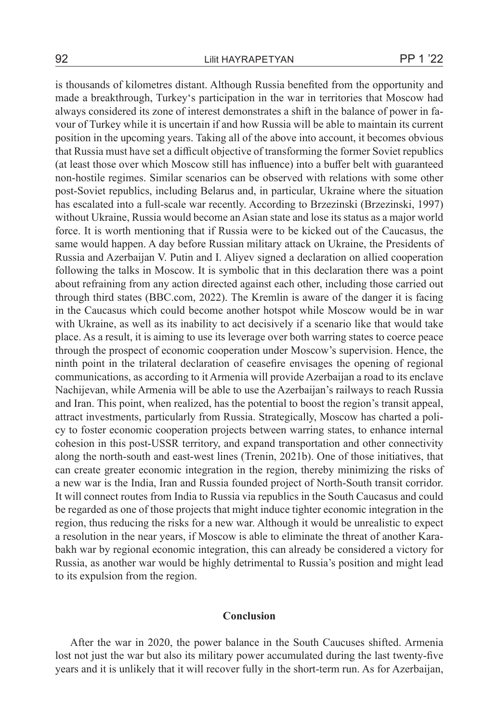is thousands of kilometres distant. Although Russia benefited from the opportunity and made a breakthrough, Turkey's participation in the war in territories that Moscow had always considered its zone of interest demonstrates a shift in the balance of power in favour of Turkey while it is uncertain if and how Russia will be able to maintain its current position in the upcoming years. Taking all of the above into account, it becomes obvious that Russia must have set a difficult objective of transforming the former Soviet republics (at least those over which Moscow still has influence) into a buffer belt with guaranteed non-hostile regimes. Similar scenarios can be observed with relations with some other post-Soviet republics, including Belarus and, in particular, Ukraine where the situation has escalated into a full-scale war recently. According to Brzezinski (Brzezinski, 1997) without Ukraine, Russia would become an Asian state and lose its status as a major world force. It is worth mentioning that if Russia were to be kicked out of the Caucasus, the same would happen. A day before Russian military attack on Ukraine, the Presidents of Russia and Azerbaijan V. Putin and I. Aliyev signed a declaration on allied cooperation following the talks in Moscow. It is symbolic that in this declaration there was a point about refraining from any action directed against each other, including those carried out through third states (BBC.com, 2022). The Kremlin is aware of the danger it is facing in the Caucasus which could become another hotspot while Moscow would be in war with Ukraine, as well as its inability to act decisively if a scenario like that would take place. As a result, it is aiming to use its leverage over both warring states to coerce peace through the prospect of economic cooperation under Moscow's supervision. Hence, the ninth point in the trilateral declaration of ceasefire envisages the opening of regional communications, as according to it Armenia will provide Azerbaijan a road to its enclave Nachijevan, while Armenia will be able to use the Azerbaijan's railways to reach Russia and Iran. This point, when realized, has the potential to boost the region's transit appeal, attract investments, particularly from Russia. Strategically, Moscow has charted a policy to foster economic cooperation projects between warring states, to enhance internal cohesion in this post-USSR territory, and expand transportation and other connectivity along the north-south and east-west lines (Trenin, 2021b). One of those initiatives, that can create greater economic integration in the region, thereby minimizing the risks of a new war is the India, Iran and Russia founded project of North-South transit corridor. It will connect routes from India to Russia via republics in the South Caucasus and could be regarded as one of those projects that might induce tighter economic integration in the region, thus reducing the risks for a new war. Although it would be unrealistic to expect a resolution in the near years, if Moscow is able to eliminate the threat of another Karabakh war by regional economic integration, this can already be considered a victory for Russia, as another war would be highly detrimental to Russia's position and might lead to its expulsion from the region.

## **Conclusion**

After the war in 2020, the power balance in the South Caucuses shifted. Armenia lost not just the war but also its military power accumulated during the last twenty-five years and it is unlikely that it will recover fully in the short-term run. As for Azerbaijan,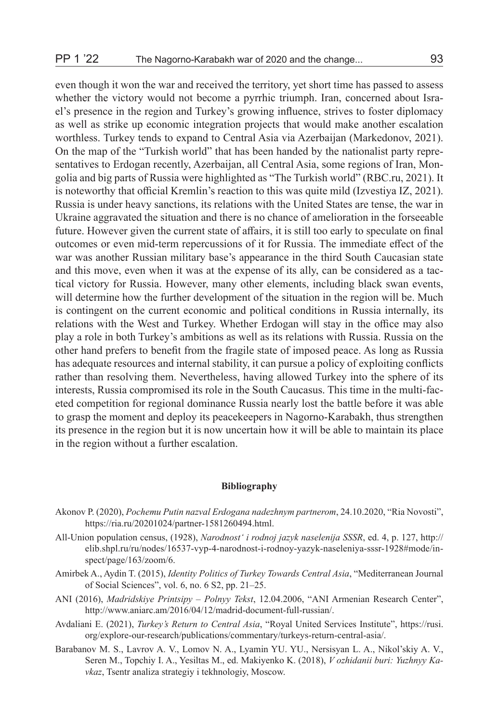even though it won the war and received the territory, yet short time has passed to assess whether the victory would not become a pyrrhic triumph. Iran, concerned about Israel's presence in the region and Turkey's growing influence, strives to foster diplomacy as well as strike up economic integration projects that would make another escalation worthless. Turkey tends to expand to Central Asia via Azerbaijan (Markedonov, 2021). On the map of the "Turkish world" that has been handed by the nationalist party representatives to Erdogan recently, Azerbaijan, all Central Asia, some regions of Iran, Mongolia and big parts of Russia were highlighted as "The Turkish world" (RBC.ru, 2021). It is noteworthy that official Kremlin's reaction to this was quite mild (Izvestiya IZ, 2021). Russia is under heavy sanctions, its relations with the United States are tense, the war in

Ukraine aggravated the situation and there is no chance of amelioration in the forseeable future. However given the current state of affairs, it is still too early to speculate on final outcomes or even mid-term repercussions of it for Russia. The immediate effect of the war was another Russian military base's appearance in the third South Caucasian state and this move, even when it was at the expense of its ally, can be considered as a tactical victory for Russia. However, many other elements, including black swan events, will determine how the further development of the situation in the region will be. Much is contingent on the current economic and political conditions in Russia internally, its relations with the West and Turkey. Whether Erdogan will stay in the office may also play a role in both Turkey's ambitions as well as its relations with Russia. Russia on the other hand prefers to benefit from the fragile state of imposed peace. As long as Russia has adequate resources and internal stability, it can pursue a policy of exploiting conflicts rather than resolving them. Nevertheless, having allowed Turkey into the sphere of its interests, Russia compromised its role in the South Caucasus. This time in the multi-faceted competition for regional dominance Russia nearly lost the battle before it was able to grasp the moment and deploy its peacekeepers in Nagorno-Karabakh, thus strengthen its presence in the region but it is now uncertain how it will be able to maintain its place in the region without a further escalation.

## **Bibliography**

- Akonov P. (2020), *Pochemu Putin nazval Erdogana nadezhnym partnerom*, 24.10.2020, "Ria Novosti", https://ria.ru/20201024/partner-1581260494.html.
- All-Union population census, (1928), *Narodnost' i rodnoj jazyk naselenija SSSR*, ed. 4, p. 127, http:// elib.shpl.ru/ru/nodes/16537-vyp-4-narodnost-i-rodnoy-yazyk-naseleniya-sssr-1928#mode/inspect/page/163/zoom/6.
- Amirbek A., Aydin T. (2015), *Identity Politics of Turkey Towards Central Asia*, "Mediterranean Journal of Social Sciences", vol. 6, no. 6 S2, pp. 21–25.
- ANI (2016), *Madridskiye Printsipy Polnyy Tekst*, 12.04.2006, "ANI Armenian Research Center", http://www.aniarc.am/2016/04/12/madrid-document-full-russian/.
- Avdaliani E. (2021), *Turkey's Return to Central Asia*, "Royal United Services Institute", https://rusi. org/explore-our-research/publications/commentary/turkeys-return-central-asia/.
- Barabanov M. S., Lavrov A. V., Lomov N. A., Lyamin YU. YU., Nersisyan L. A., Nikol'skiy A. V., Seren M., Topchiy I. A., Yesiltas M., ed. Makiyenko K. (2018), *V ozhidanii buri: Yuzhnyy Kavkaz*, Tsentr analiza strategiy i tekhnologiy, Moscow.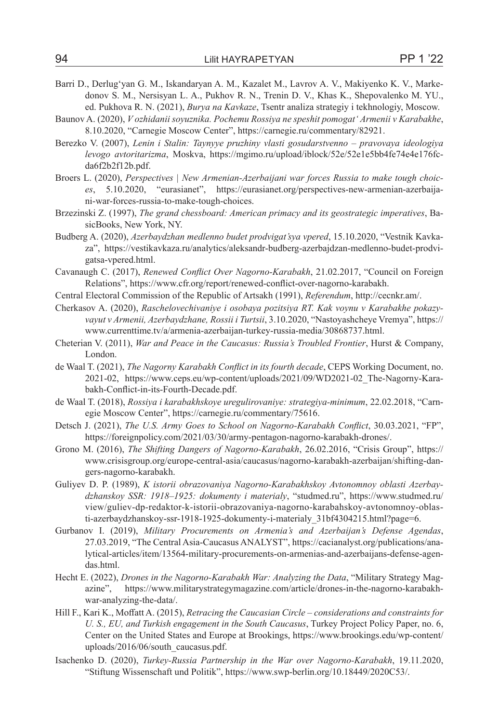- Barri D., Derlug'yan G. M., Iskandaryan A. M., Kazalet M., Lavrov A. V., Makiyenko K. V., Markedonov S. M., Nersisyan L. A., Pukhov R. N., Trenin D. V., Khas K., Shepovalenko M. YU., ed. Pukhova R. N. (2021), *Burya na Kavkaze*, Tsentr analiza strategiy i tekhnologiy, Moscow.
- Baunov A. (2020), *V ozhidanii soyuznika. Pochemu Rossiya ne speshit pomogat' Armenii v Karabakhe*, 8.10.2020, "Carnegie Moscow Center", https://carnegie.ru/commentary/82921.
- Berezko V. (2007), *Lenin i Stalin: Taynyye pruzhiny vlasti gosudarstvenno pravovaya ideologiya levogo avtoritarizma*, Moskva, https://mgimo.ru/upload/iblock/52e/52e1e5bb4fe74e4e176fcda6f2b2f12b.pdf.
- Broers L. (2020), *Perspectives | New Armenian-Azerbaijani war forces Russia to make tough choices*, 5.10.2020, "eurasianet", https://eurasianet.org/perspectives-new-armenian-azerbaijani-war-forces-russia-to-make-tough-choices.
- Brzezinski Z. (1997), *The grand chessboard: American primacy and its geostrategic imperatives*, BasicBooks, New York, NY.
- Budberg A. (2020), *Azerbaydzhan medlenno budet prodvigat'sya vpered*, 15.10.2020, "Vestnik Kavkaza", https://vestikavkaza.ru/analytics/aleksandr-budberg-azerbajdzan-medlenno-budet-prodvigatsa-vpered.html.
- Cavanaugh C. (2017), *Renewed Conflict Over Nagorno-Karabakh*, 21.02.2017, "Council on Foreign Relations", https://www.cfr.org/report/renewed-conflict-over-nagorno-karabakh.
- Central Electoral Commission of the Republic of Artsakh (1991), *Referendum*, http://cecnkr.am/.
- Cherkasov A. (2020), *Raschelovechivaniye i osobaya pozitsiya RT. Kak voynu v Karabakhe pokazyvayut v Armenii, Azerbaydzhane, Rossii i Turtsii*, 3.10.2020, "Nastoyashcheye Vremya", https:// www.currenttime.tv/a/armenia-azerbaijan-turkey-russia-media/30868737.html.
- Cheterian V. (2011), *War and Peace in the Caucasus: Russia's Troubled Frontier*, Hurst & Company, London.
- de Waal T. (2021), *The Nagorny Karabakh Conflict in its fourth decade*, CEPS Working Document, no. 2021-02, https://www.ceps.eu/wp-content/uploads/2021/09/WD2021-02\_The-Nagorny-Karabakh-Conflict-in-its-Fourth-Decade.pdf.
- de Waal T. (2018), *Rossiya i karabakhskoye uregulirovaniye: strategiya-minimum*, 22.02.2018, "Carnegie Moscow Center", https://carnegie.ru/commentary/75616.
- Detsch J. (2021), *The U.S. Army Goes to School on Nagorno-Karabakh Conflict*, 30.03.2021, "FP", https://foreignpolicy.com/2021/03/30/army-pentagon-nagorno-karabakh-drones/.
- Grono M. (2016), *The Shifting Dangers of Nagorno-Karabakh*, 26.02.2016, "Crisis Group", https:// www.crisisgroup.org/europe-central-asia/caucasus/nagorno-karabakh-azerbaijan/shifting-dangers-nagorno-karabakh.
- Guliyev D. P. (1989), *K istorii obrazovaniya Nagorno-Karabakhskoy Avtonomnoy oblasti Azerbaydzhanskoy SSR: 1918–1925: dokumenty i materialy*, "studmed.ru", https://www.studmed.ru/ view/guliev-dp-redaktor-k-istorii-obrazovaniya-nagorno-karabahskoy-avtonomnoy-oblasti-azerbaydzhanskoy-ssr-1918-1925-dokumenty-i-materialy\_31bf4304215.html?page=6.
- Gurbanov I. (2019), *Military Procurements on Armenia's and Azerbaijan's Defense Agendas*, 27.03.2019, "The Central Asia-Caucasus ANALYST", https://cacianalyst.org/publications/analytical-articles/item/13564-military-procurements-on-armenias-and-azerbaijans-defense-agendas.html.
- Hecht E. (2022), *Drones in the Nagorno-Karabakh War: Analyzing the Data*, "Military Strategy Magazine", https://www.militarystrategymagazine.com/article/drones-in-the-nagorno-karabakhwar-analyzing-the-data/.
- Hill F., Kari K., Moffatt A. (2015), *Retracing the Caucasian Circle considerations and constraints for U. S., EU, and Turkish engagement in the South Caucasus*, Turkey Project Policy Paper, no. 6, Center on the United States and Europe at Brookings, https://www.brookings.edu/wp-content/ uploads/2016/06/south\_caucasus.pdf.
- Isachenko D. (2020), *Turkey-Russia Partnership in the War over Nagorno-Karabakh*, 19.11.2020, "Stiftung Wissenschaft und Politik", https://www.swp-berlin.org/10.18449/2020C53/.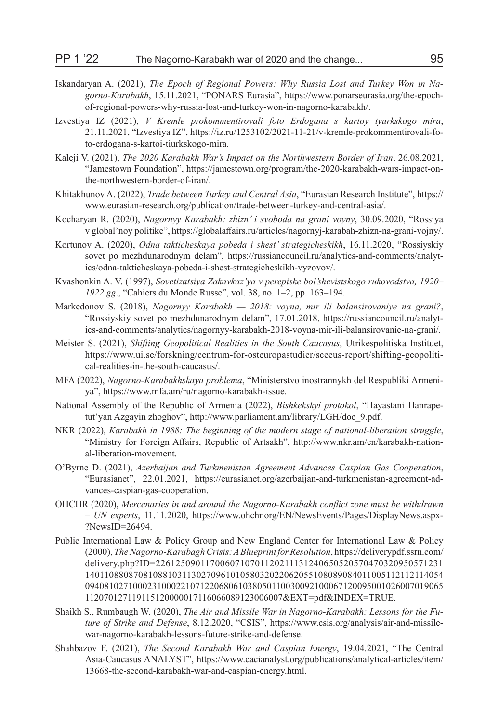- Iskandaryan A. (2021), *The Epoch of Regional Powers: Why Russia Lost and Turkey Won in Nagorno-Karabakh*, 15.11.2021, "PONARS Eurasia", https://www.ponarseurasia.org/the-epochof-regional-powers-why-russia-lost-and-turkey-won-in-nagorno-karabakh/.
- Izvestiya IZ (2021), *V Kremle prokommentirovali foto Erdogana s kartoy tyurkskogo mira*, 21.11.2021, "Izvestiya IZ", https://iz.ru/1253102/2021-11-21/v-kremle-prokommentirovali-foto-erdogana-s-kartoi-tiurkskogo-mira.
- Kaleji V. (2021), *The 2020 Karabakh War's Impact on the Northwestern Border of Iran*, 26.08.2021, "Jamestown Foundation", https://jamestown.org/program/the-2020-karabakh-wars-impact-onthe-northwestern-border-of-iran/.
- Khitakhunov A. (2022), *Trade between Turkey and Central Asia*, "Eurasian Research Institute", https:// www.eurasian-research.org/publication/trade-between-turkey-and-central-asia/.
- Kocharyan R. (2020), *Nagornyy Karabakh: zhizn' i svoboda na grani voyny*, 30.09.2020, "Rossiya v global'noy politike", https://globalaffairs.ru/articles/nagornyj-karabah-zhizn-na-grani-vojny/.
- Kortunov A. (2020), *Odna takticheskaya pobeda i shest' strategicheskikh*, 16.11.2020, "Rossiyskiy sovet po mezhdunarodnym delam", https://russiancouncil.ru/analytics-and-comments/analytics/odna-takticheskaya-pobeda-i-shest-strategicheskikh-vyzovov/.
- Kvashonkin A. V. (1997), *Sovetizatsiya Zakavkaz'ya v perepiske bol'shevistskogo rukovodstva, 1920– 1922 gg*., "Cahiers du Monde Russe", vol. 38, no. 1–2, pp. 163–194.
- Markedonov S. (2018), *Nagornyy Karabakh 2018: voyna, mir ili balansirovaniye na grani?*, "Rossiyskiy sovet po mezhdunarodnym delam", 17.01.2018, https://russiancouncil.ru/analytics-and-comments/analytics/nagornyy-karabakh-2018-voyna-mir-ili-balansirovanie-na-grani/.
- Meister S. (2021), *Shifting Geopolitical Realities in the South Caucasus*, Utrikespolitiska Instituet, https://www.ui.se/forskning/centrum-for-osteuropastudier/sceeus-report/shifting-geopolitical-realities-in-the-south-caucasus/.
- MFA (2022), *Nagorno-Karabakhskaya problema*, "Ministerstvo inostrannykh del Respubliki Armeniya", https://www.mfa.am/ru/nagorno-karabakh-issue.
- National Assembly of the Republic of Armenia (2022), *Bishkekskyi protokol*, "Hayastani Hanrapetut'yan Azgayin zhoghov", http://www.parliament.am/library/LGH/doc\_9.pdf.
- NKR (2022), *Karabakh in 1988: The beginning of the modern stage of national-liberation struggle*, "Ministry for Foreign Affairs, Republic of Artsakh", http://www.nkr.am/en/karabakh-national-liberation-movement.
- O'Byrne D. (2021), *Azerbaijan and Turkmenistan Agreement Advances Caspian Gas Cooperation*, "Eurasianet", 22.01.2021, https://eurasianet.org/azerbaijan-and-turkmenistan-agreement-advances-caspian-gas-cooperation.
- OHCHR (2020), *Mercenaries in and around the Nagorno-Karabakh conflict zone must be withdrawn – UN experts*, 11.11.2020, https://www.ohchr.org/EN/NewsEvents/Pages/DisplayNews.aspx- ?NewsID=26494.
- Public International Law & Policy Group and New England Center for International Law & Policy (2000), *The Nagorno-Karabagh Crisis: A Blueprint for Resolution*, https://deliverypdf.ssrn.com/ delivery.php?ID=2261250901170060710701120211131240650520570470320950571231 14011088087081088103113027096101058032022062055108089084011005112112114054 094081027100023100022107122068061038050110030092100067120095001026007019065 112070127119115120000017116066089123006007&EXT=pdf&INDEX=TRUE.
- Shaikh S., Rumbaugh W. (2020), *The Air and Missile War in Nagorno-Karabakh: Lessons for the Future of Strike and Defense*, 8.12.2020, "CSIS", https://www.csis.org/analysis/air-and-missilewar-nagorno-karabakh-lessons-future-strike-and-defense.
- Shahbazov F. (2021), *The Second Karabakh War and Caspian Energy*, 19.04.2021, "The Central Asia-Caucasus ANALYST", https://www.cacianalyst.org/publications/analytical-articles/item/ 13668-the-second-karabakh-war-and-caspian-energy.html.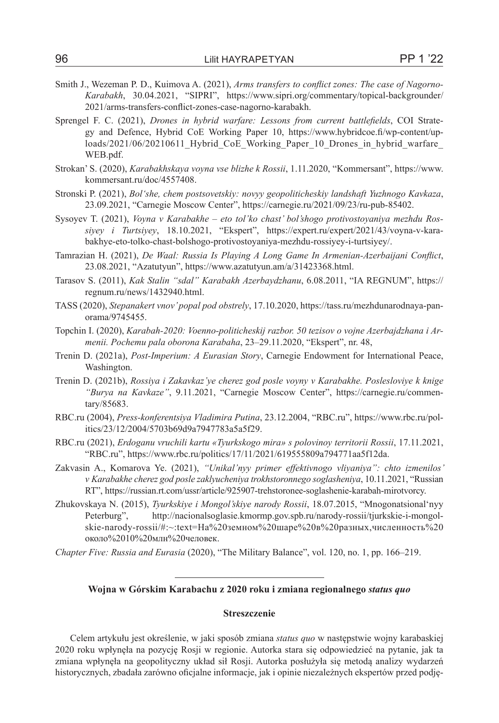- Smith J., Wezeman P. D., Kuimova A. (2021), *Arms transfers to conflict zones: The case of Nagorno-Karabakh*, 30.04.2021, "SIPRI", https://www.sipri.org/commentary/topical-backgrounder/ 2021/arms-transfers-conflict-zones-case-nagorno-karabakh.
- Sprengel F. C. (2021), *Drones in hybrid warfare: Lessons from current battlefields*, COI Strategy and Defence, Hybrid CoE Working Paper 10, https://www.hybridcoe.fi/wp-content/uploads/2021/06/20210611\_Hybrid\_CoE\_Working\_Paper\_10\_Drones\_in\_hybrid\_warfare WEB.pdf.
- Strokan' S. (2020), *Karabakhskaya voyna vse blizhe k Rossii*, 1.11.2020, "Kommersant", https://www. kommersant.ru/doc/4557408.
- Stronski P. (2021), *Bol'she, chem postsovetskiy: novyy geopoliticheskiy landshaft Yuzhnogo Kavkaza*, 23.09.2021, "Carnegie Moscow Center", https://carnegie.ru/2021/09/23/ru-pub-85402.
- Sysoyev T. (2021), *Voyna v Karabakhe eto tol'ko chast' bol'shogo protivostoyaniya mezhdu Rossiyey i Turtsiyey*, 18.10.2021, "Ekspert", https://expert.ru/expert/2021/43/voyna-v-karabakhye-eto-tolko-chast-bolshogo-protivostoyaniya-mezhdu-rossiyey-i-turtsiyey/.
- Tamrazian H. (2021), *De Waal: Russia Is Playing A Long Game In Armenian-Azerbaijani Conflict*, 23.08.2021, "Azatutyun", https://www.azatutyun.am/a/31423368.html.
- Tarasov S. (2011), *Kak Stalin "sdal" Karabakh Azerbaydzhanu*, 6.08.2011, "IA REGNUM", https:// regnum.ru/news/1432940.html.
- TASS (2020), *Stepanakert vnov' popal pod obstrely*, 17.10.2020, https://tass.ru/mezhdunarodnaya-panorama/9745455.
- Topchin I. (2020), *Karabah-2020: Voenno-politicheskij razbor. 50 tezisov o vojne Azerbajdzhana i Armenii. Pochemu pala oborona Karabaha*, 23–29.11.2020, "Ekspert", nr. 48,
- Trenin D. (2021a), *Post-Imperium: A Eurasian Story*, Carnegie Endowment for International Peace, Washington.
- Trenin D. (2021b), *Rossiya i Zakavkaz'ye cherez god posle voyny v Karabakhe. Poslesloviye k knige "Burya na Kavkaze"*, 9.11.2021, "Carnegie Moscow Center", https://carnegie.ru/commentary/85683.
- RBC.ru (2004), *Press-konferentsiya Vladimira Putina*, 23.12.2004, "RBC.ru", https://www.rbc.ru/politics/23/12/2004/5703b69d9a7947783a5a5f29.
- RBC.ru (2021), *Erdoganu vruchili kartu «Tyurkskogo mira» s polovinoy territorii Rossii*, 17.11.2021, "RBC.ru", https://www.rbc.ru/politics/17/11/2021/619555809a794771aa5f12da.
- Zakvasin A., Komarova Ye. (2021), *"Unikal'nyy primer effektivnogo vliyaniya": chto izmenilos' v Karabakhe cherez god posle zaklyucheniya trokhstoronnego soglasheniya*, 10.11.2021, "Russian RT", https://russian.rt.com/ussr/article/925907-trehstoronee-soglashenie-karabah-mirotvorcy.
- Zhukovskaya N. (2015), *Tyurkskiye i Mongol'skiye narody Rossii*, 18.07.2015, "Mnogonatsional'nyy Peterburg", http://nacionalsoglasie.kmormp.gov.spb.ru/narody-rossii/tjurkskie-i-mongolskie-narody-rossii/#:~:text=На%20земном%20шаре%20в%20разных,численность%20 около%2010%20млн%20человек.
- *Chapter Five: Russia and Eurasia* (2020), "The Military Balance", vol. 120, no. 1, pp. 166–219.

## **Wojna w Górskim Karabachu z 2020 roku i zmiana regionalnego** *status quo*

#### **Streszczenie**

Celem artykułu jest określenie, w jaki sposób zmiana *status quo* w następstwie wojny karabaskiej 2020 roku wpłynęła na pozycję Rosji w regionie. Autorka stara się odpowiedzieć na pytanie, jak ta zmiana wpłynęła na geopolityczny układ sił Rosji. Autorka posłużyła się metodą analizy wydarzeń historycznych, zbadała zarówno oficjalne informacje, jak i opinie niezależnych ekspertów przed podję-